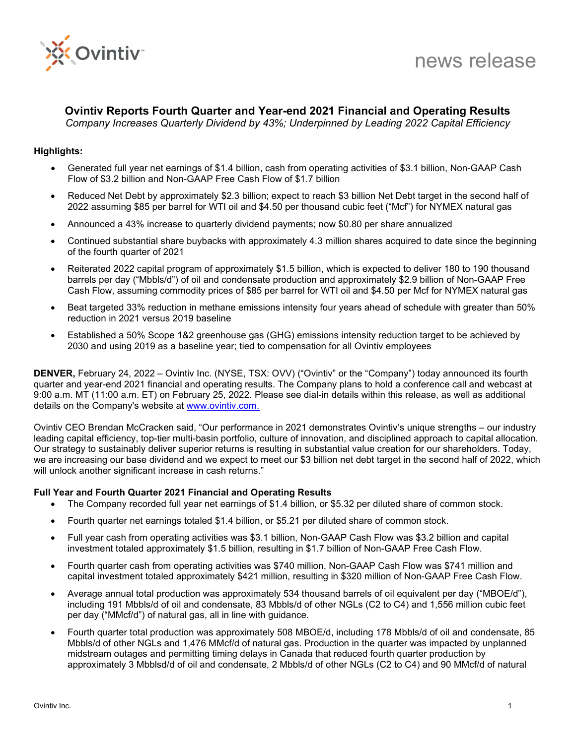

# **Ovintiv Reports Fourth Quarter and Year-end 2021 Financial and Operating Results**

*Company Increases Quarterly Dividend by 43%; Underpinned by Leading 2022 Capital Efficiency*

# **Highlights:**

- Generated full year net earnings of \$1.4 billion, cash from operating activities of \$3.1 billion, Non-GAAP Cash Flow of \$3.2 billion and Non-GAAP Free Cash Flow of \$1.7 billion
- Reduced Net Debt by approximately \$2.3 billion; expect to reach \$3 billion Net Debt target in the second half of 2022 assuming \$85 per barrel for WTI oil and \$4.50 per thousand cubic feet ("Mcf") for NYMEX natural gas
- Announced a 43% increase to quarterly dividend payments; now \$0.80 per share annualized
- Continued substantial share buybacks with approximately 4.3 million shares acquired to date since the beginning of the fourth quarter of 2021
- Reiterated 2022 capital program of approximately \$1.5 billion, which is expected to deliver 180 to 190 thousand barrels per day ("Mbbls/d") of oil and condensate production and approximately \$2.9 billion of Non-GAAP Free Cash Flow, assuming commodity prices of \$85 per barrel for WTI oil and \$4.50 per Mcf for NYMEX natural gas
- Beat targeted 33% reduction in methane emissions intensity four years ahead of schedule with greater than 50% reduction in 2021 versus 2019 baseline
- Established a 50% Scope 1&2 greenhouse gas (GHG) emissions intensity reduction target to be achieved by 2030 and using 2019 as a baseline year; tied to compensation for all Ovintiv employees

**DENVER,** February 24, 2022 – Ovintiv Inc. (NYSE, TSX: OVV) ("Ovintiv" or the "Company") today announced its fourth quarter and year-end 2021 financial and operating results. The Company plans to hold a conference call and webcast at 9:00 a.m. MT (11:00 a.m. ET) on February 25, 2022. Please see dial-in details within this release, as well as additional details on the Company's website at [www.ovintiv.com.](http://www.ovintiv.com/)

Ovintiv CEO Brendan McCracken said, "Our performance in 2021 demonstrates Ovintiv's unique strengths – our industry leading capital efficiency, top-tier multi-basin portfolio, culture of innovation, and disciplined approach to capital allocation. Our strategy to sustainably deliver superior returns is resulting in substantial value creation for our shareholders. Today, we are increasing our base dividend and we expect to meet our \$3 billion net debt target in the second half of 2022, which will unlock another significant increase in cash returns."

#### **Full Year and Fourth Quarter 2021 Financial and Operating Results**

- The Company recorded full year net earnings of \$1.4 billion, or \$5.32 per diluted share of common stock.
- Fourth quarter net earnings totaled \$1.4 billion, or \$5.21 per diluted share of common stock.
- Full year cash from operating activities was \$3.1 billion, Non-GAAP Cash Flow was \$3.2 billion and capital investment totaled approximately \$1.5 billion, resulting in \$1.7 billion of Non-GAAP Free Cash Flow.
- Fourth quarter cash from operating activities was \$740 million, Non-GAAP Cash Flow was \$741 million and capital investment totaled approximately \$421 million, resulting in \$320 million of Non-GAAP Free Cash Flow.
- Average annual total production was approximately 534 thousand barrels of oil equivalent per day ("MBOE/d"), including 191 Mbbls/d of oil and condensate, 83 Mbbls/d of other NGLs (C2 to C4) and 1,556 million cubic feet per day ("MMcf/d") of natural gas, all in line with guidance.
- Fourth quarter total production was approximately 508 MBOE/d, including 178 Mbbls/d of oil and condensate, 85 Mbbls/d of other NGLs and 1,476 MMcf/d of natural gas. Production in the quarter was impacted by unplanned midstream outages and permitting timing delays in Canada that reduced fourth quarter production by approximately 3 Mbblsd/d of oil and condensate, 2 Mbbls/d of other NGLs (C2 to C4) and 90 MMcf/d of natural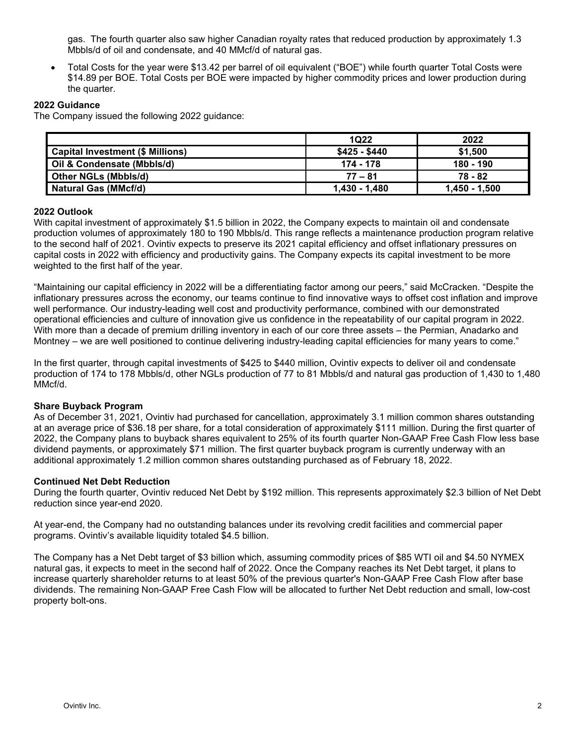gas. The fourth quarter also saw higher Canadian royalty rates that reduced production by approximately 1.3 Mbbls/d of oil and condensate, and 40 MMcf/d of natural gas.

• Total Costs for the year were \$13.42 per barrel of oil equivalent ("BOE") while fourth quarter Total Costs were \$14.89 per BOE. Total Costs per BOE were impacted by higher commodity prices and lower production during the quarter.

# **2022 Guidance**

The Company issued the following 2022 guidance:

|                                         | 1Q22          | 2022          |
|-----------------------------------------|---------------|---------------|
| <b>Capital Investment (\$ Millions)</b> | \$425 - \$440 | \$1,500       |
| Oil & Condensate (Mbbls/d)              | 174 - 178     | 180 - 190     |
| Other NGLs (Mbbls/d)                    | $77 - 81$     | 78 - 82       |
| Natural Gas (MMcf/d)                    | 1.430 - 1.480 | 1,450 - 1,500 |

# **2022 Outlook**

With capital investment of approximately \$1.5 billion in 2022, the Company expects to maintain oil and condensate production volumes of approximately 180 to 190 Mbbls/d. This range reflects a maintenance production program relative to the second half of 2021. Ovintiv expects to preserve its 2021 capital efficiency and offset inflationary pressures on capital costs in 2022 with efficiency and productivity gains. The Company expects its capital investment to be more weighted to the first half of the year.

"Maintaining our capital efficiency in 2022 will be a differentiating factor among our peers," said McCracken. "Despite the inflationary pressures across the economy, our teams continue to find innovative ways to offset cost inflation and improve well performance. Our industry-leading well cost and productivity performance, combined with our demonstrated operational efficiencies and culture of innovation give us confidence in the repeatability of our capital program in 2022. With more than a decade of premium drilling inventory in each of our core three assets – the Permian, Anadarko and Montney – we are well positioned to continue delivering industry-leading capital efficiencies for many years to come."

In the first quarter, through capital investments of \$425 to \$440 million, Ovintiv expects to deliver oil and condensate production of 174 to 178 Mbbls/d, other NGLs production of 77 to 81 Mbbls/d and natural gas production of 1,430 to 1,480 MMcf/d.

#### **Share Buyback Program**

As of December 31, 2021, Ovintiv had purchased for cancellation, approximately 3.1 million common shares outstanding at an average price of \$36.18 per share, for a total consideration of approximately \$111 million. During the first quarter of 2022, the Company plans to buyback shares equivalent to 25% of its fourth quarter Non-GAAP Free Cash Flow less base dividend payments, or approximately \$71 million. The first quarter buyback program is currently underway with an additional approximately 1.2 million common shares outstanding purchased as of February 18, 2022.

#### **Continued Net Debt Reduction**

During the fourth quarter, Ovintiv reduced Net Debt by \$192 million. This represents approximately \$2.3 billion of Net Debt reduction since year-end 2020.

At year-end, the Company had no outstanding balances under its revolving credit facilities and commercial paper programs. Ovintiv's available liquidity totaled \$4.5 billion.

The Company has a Net Debt target of \$3 billion which, assuming commodity prices of \$85 WTI oil and \$4.50 NYMEX natural gas, it expects to meet in the second half of 2022. Once the Company reaches its Net Debt target, it plans to increase quarterly shareholder returns to at least 50% of the previous quarter's Non-GAAP Free Cash Flow after base dividends. The remaining Non-GAAP Free Cash Flow will be allocated to further Net Debt reduction and small, low-cost property bolt-ons.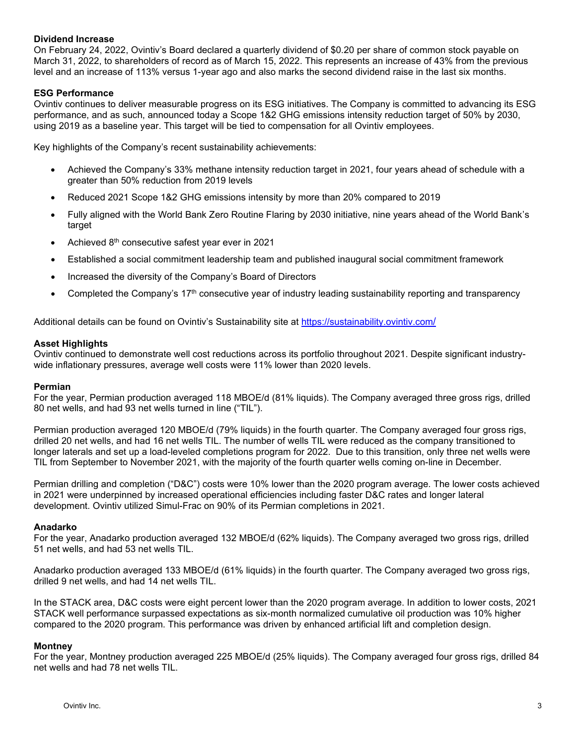## **Dividend Increase**

On February 24, 2022, Ovintiv's Board declared a quarterly dividend of \$0.20 per share of common stock payable on March 31, 2022, to shareholders of record as of March 15, 2022. This represents an increase of 43% from the previous level and an increase of 113% versus 1-year ago and also marks the second dividend raise in the last six months.

## **ESG Performance**

Ovintiv continues to deliver measurable progress on its ESG initiatives. The Company is committed to advancing its ESG performance, and as such, announced today a Scope 1&2 GHG emissions intensity reduction target of 50% by 2030, using 2019 as a baseline year. This target will be tied to compensation for all Ovintiv employees.

Key highlights of the Company's recent sustainability achievements:

- Achieved the Company's 33% methane intensity reduction target in 2021, four years ahead of schedule with a greater than 50% reduction from 2019 levels
- Reduced 2021 Scope 1&2 GHG emissions intensity by more than 20% compared to 2019
- Fully aligned with the World Bank Zero Routine Flaring by 2030 initiative, nine years ahead of the World Bank's target
- Achieved 8th consecutive safest year ever in 2021
- Established a social commitment leadership team and published inaugural social commitment framework
- Increased the diversity of the Company's Board of Directors
- Completed the Company's 17<sup>th</sup> consecutive year of industry leading sustainability reporting and transparency

Additional details can be found on Ovintiv's Sustainability site at<https://sustainability.ovintiv.com/>

#### **Asset Highlights**

Ovintiv continued to demonstrate well cost reductions across its portfolio throughout 2021. Despite significant industrywide inflationary pressures, average well costs were 11% lower than 2020 levels.

#### **Permian**

For the year, Permian production averaged 118 MBOE/d (81% liquids). The Company averaged three gross rigs, drilled 80 net wells, and had 93 net wells turned in line ("TIL").

Permian production averaged 120 MBOE/d (79% liquids) in the fourth quarter. The Company averaged four gross rigs, drilled 20 net wells, and had 16 net wells TIL. The number of wells TIL were reduced as the company transitioned to longer laterals and set up a load-leveled completions program for 2022. Due to this transition, only three net wells were TIL from September to November 2021, with the majority of the fourth quarter wells coming on-line in December.

Permian drilling and completion ("D&C") costs were 10% lower than the 2020 program average. The lower costs achieved in 2021 were underpinned by increased operational efficiencies including faster D&C rates and longer lateral development. Ovintiv utilized Simul-Frac on 90% of its Permian completions in 2021.

#### **Anadarko**

For the year, Anadarko production averaged 132 MBOE/d (62% liquids). The Company averaged two gross rigs, drilled 51 net wells, and had 53 net wells TIL.

Anadarko production averaged 133 MBOE/d (61% liquids) in the fourth quarter. The Company averaged two gross rigs, drilled 9 net wells, and had 14 net wells TIL.

In the STACK area, D&C costs were eight percent lower than the 2020 program average. In addition to lower costs, 2021 STACK well performance surpassed expectations as six-month normalized cumulative oil production was 10% higher compared to the 2020 program. This performance was driven by enhanced artificial lift and completion design.

#### **Montney**

For the year, Montney production averaged 225 MBOE/d (25% liquids). The Company averaged four gross rigs, drilled 84 net wells and had 78 net wells TIL.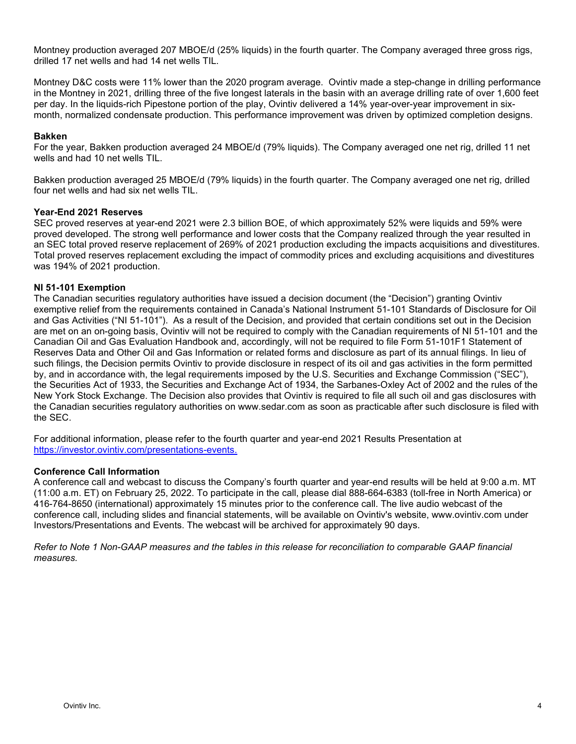Montney production averaged 207 MBOE/d (25% liquids) in the fourth quarter. The Company averaged three gross rigs, drilled 17 net wells and had 14 net wells TIL.

Montney D&C costs were 11% lower than the 2020 program average. Ovintiv made a step-change in drilling performance in the Montney in 2021, drilling three of the five longest laterals in the basin with an average drilling rate of over 1,600 feet per day. In the liquids-rich Pipestone portion of the play, Ovintiv delivered a 14% year-over-year improvement in sixmonth, normalized condensate production. This performance improvement was driven by optimized completion designs.

## **Bakken**

For the year, Bakken production averaged 24 MBOE/d (79% liquids). The Company averaged one net rig, drilled 11 net wells and had 10 net wells TIL.

Bakken production averaged 25 MBOE/d (79% liquids) in the fourth quarter. The Company averaged one net rig, drilled four net wells and had six net wells TIL.

# **Year-End 2021 Reserves**

SEC proved reserves at year-end 2021 were 2.3 billion BOE, of which approximately 52% were liquids and 59% were proved developed. The strong well performance and lower costs that the Company realized through the year resulted in an SEC total proved reserve replacement of 269% of 2021 production excluding the impacts acquisitions and divestitures. Total proved reserves replacement excluding the impact of commodity prices and excluding acquisitions and divestitures was 194% of 2021 production.

#### **NI 51-101 Exemption**

The Canadian securities regulatory authorities have issued a decision document (the "Decision") granting Ovintiv exemptive relief from the requirements contained in Canada's National Instrument 51-101 Standards of Disclosure for Oil and Gas Activities ("NI 51-101"). As a result of the Decision, and provided that certain conditions set out in the Decision are met on an on-going basis, Ovintiv will not be required to comply with the Canadian requirements of NI 51-101 and the Canadian Oil and Gas Evaluation Handbook and, accordingly, will not be required to file Form 51-101F1 Statement of Reserves Data and Other Oil and Gas Information or related forms and disclosure as part of its annual filings. In lieu of such filings, the Decision permits Ovintiv to provide disclosure in respect of its oil and gas activities in the form permitted by, and in accordance with, the legal requirements imposed by the U.S. Securities and Exchange Commission ("SEC"), the Securities Act of 1933, the Securities and Exchange Act of 1934, the Sarbanes-Oxley Act of 2002 and the rules of the New York Stock Exchange. The Decision also provides that Ovintiv is required to file all such oil and gas disclosures with the Canadian securities regulatory authorities on www.sedar.com as soon as practicable after such disclosure is filed with the SEC.

For additional information, please refer to the fourth quarter and year-end 2021 Results Presentation at [https://investor.ovintiv.com/presentations-events.](https://investor.ovintiv.com/presentations-events)

#### **Conference Call Information**

A conference call and webcast to discuss the Company's fourth quarter and year-end results will be held at 9:00 a.m. MT (11:00 a.m. ET) on February 25, 2022. To participate in the call, please dial 888-664-6383 (toll-free in North America) or 416-764-8650 (international) approximately 15 minutes prior to the conference call. The live audio webcast of the conference call, including slides and financial statements, will be available on Ovintiv's website, www.ovintiv.com under Investors/Presentations and Events. The webcast will be archived for approximately 90 days.

*Refer to Note 1 Non-GAAP measures and the tables in this release for reconciliation to comparable GAAP financial measures.*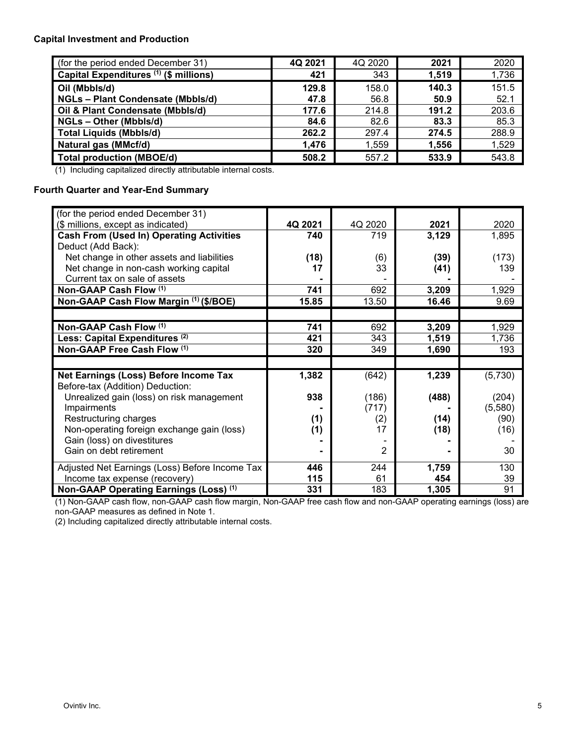# **Capital Investment and Production**

| (for the period ended December 31)     | 4Q 2021 | 4Q 2020 | 2021  | 2020  |
|----------------------------------------|---------|---------|-------|-------|
| Capital Expenditures (1) (\$ millions) | 421     | 343     | 1,519 | 1,736 |
| Oil (Mbbls/d)                          | 129.8   | 158.0   | 140.3 | 151.5 |
| <b>NGLs-Plant Condensate (Mbbls/d)</b> | 47.8    | 56.8    | 50.9  | 52.1  |
| Oil & Plant Condensate (Mbbls/d)       | 177.6   | 214.8   | 191.2 | 203.6 |
| NGLs - Other (Mbbls/d)                 | 84.6    | 82.6    | 83.3  | 85.3  |
| <b>Total Liquids (Mbbls/d)</b>         | 262.2   | 297.4   | 274.5 | 288.9 |
| Natural gas (MMcf/d)                   | 1,476   | 1,559   | 1,556 | 1,529 |
| <b>Total production (MBOE/d)</b>       | 508.2   | 557.2   | 533.9 | 543.8 |

(1) Including capitalized directly attributable internal costs.

# **Fourth Quarter and Year-End Summary**

| (for the period ended December 31)                |         |         |       |         |
|---------------------------------------------------|---------|---------|-------|---------|
| (\$ millions, except as indicated)                | 4Q 2021 | 4Q 2020 | 2021  | 2020    |
| <b>Cash From (Used In) Operating Activities</b>   | 740     | 719     | 3,129 | 1,895   |
| Deduct (Add Back):                                |         |         |       |         |
| Net change in other assets and liabilities        | (18)    | (6)     | (39)  | (173)   |
| Net change in non-cash working capital            | 17      | 33      | (41)  | 139     |
| Current tax on sale of assets                     |         |         |       |         |
| Non-GAAP Cash Flow (1)                            | 741     | 692     | 3,209 | 1,929   |
| Non-GAAP Cash Flow Margin (1) (\$/BOE)            | 15.85   | 13.50   | 16.46 | 9.69    |
|                                                   |         |         |       |         |
| Non-GAAP Cash Flow (1)                            | 741     | 692     | 3,209 | 1,929   |
| Less: Capital Expenditures <sup>(2)</sup>         | 421     | 343     | 1,519 | 1,736   |
| Non-GAAP Free Cash Flow (1)                       | 320     | 349     | 1,690 | 193     |
|                                                   |         |         |       |         |
| Net Earnings (Loss) Before Income Tax             | 1,382   | (642)   | 1,239 | (5,730) |
| Before-tax (Addition) Deduction:                  |         |         |       |         |
| Unrealized gain (loss) on risk management         | 938     | (186)   | (488) | (204)   |
| Impairments                                       |         | (717)   |       | (5,580) |
| Restructuring charges                             | (1)     | (2)     | (14)  | (90)    |
| Non-operating foreign exchange gain (loss)        | (1)     | 17      | (18)  | (16)    |
| Gain (loss) on divestitures                       |         |         |       |         |
| Gain on debt retirement                           |         | 2       |       | 30      |
| Adjusted Net Earnings (Loss) Before Income Tax    | 446     | 244     | 1,759 | 130     |
| Income tax expense (recovery)                     | 115     | 61      | 454   | 39      |
| Non-GAAP Operating Earnings (Loss) <sup>(1)</sup> | 331     | 183     | 1,305 | 91      |

(1) Non-GAAP cash flow, non-GAAP cash flow margin, Non-GAAP free cash flow and non-GAAP operating earnings (loss) are non-GAAP measures as defined in Note 1.

(2) Including capitalized directly attributable internal costs.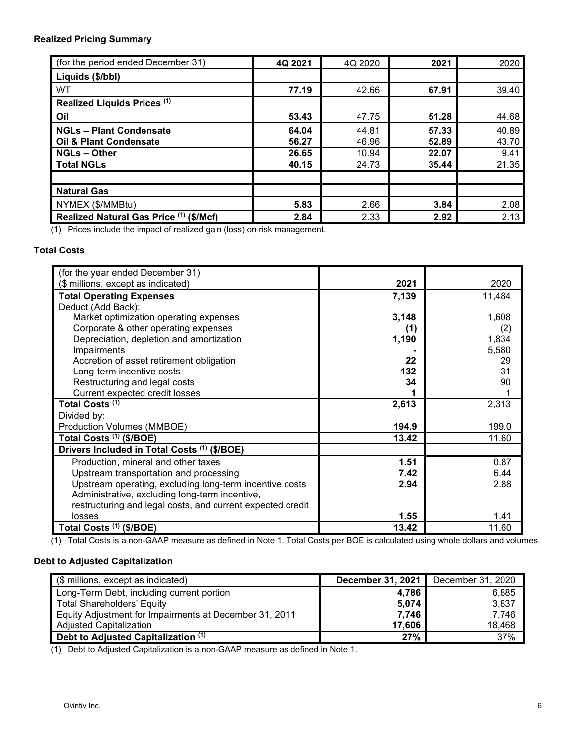# **Realized Pricing Summary**

| (for the period ended December 31)      | 4Q 2021 | 4Q 2020 | 2021  | 2020  |
|-----------------------------------------|---------|---------|-------|-------|
| Liquids (\$/bbl)                        |         |         |       |       |
| WTI                                     | 77.19   | 42.66   | 67.91 | 39.40 |
| Realized Liquids Prices (1)             |         |         |       |       |
| Oil                                     | 53.43   | 47.75   | 51.28 | 44.68 |
| <b>NGLs - Plant Condensate</b>          | 64.04   | 44.81   | 57.33 | 40.89 |
| <b>Oil &amp; Plant Condensate</b>       | 56.27   | 46.96   | 52.89 | 43.70 |
| <b>NGLs-Other</b>                       | 26.65   | 10.94   | 22.07 | 9.41  |
| <b>Total NGLs</b>                       | 40.15   | 24.73   | 35.44 | 21.35 |
|                                         |         |         |       |       |
| <b>Natural Gas</b>                      |         |         |       |       |
| NYMEX (\$/MMBtu)                        | 5.83    | 2.66    | 3.84  | 2.08  |
| Realized Natural Gas Price (1) (\$/Mcf) | 2.84    | 2.33    | 2.92  | 2.13  |

(1) Prices include the impact of realized gain (loss) on risk management.

# **Total Costs**

| (for the year ended December 31)                           |       |        |
|------------------------------------------------------------|-------|--------|
| (\$ millions, except as indicated)                         | 2021  | 2020   |
| <b>Total Operating Expenses</b>                            | 7,139 | 11,484 |
| Deduct (Add Back):                                         |       |        |
| Market optimization operating expenses                     | 3,148 | 1,608  |
| Corporate & other operating expenses                       | (1)   | (2)    |
| Depreciation, depletion and amortization                   | 1,190 | 1,834  |
| Impairments                                                |       | 5,580  |
| Accretion of asset retirement obligation                   | 22    | 29     |
| Long-term incentive costs                                  | 132   | 31     |
| Restructuring and legal costs                              | 34    | 90     |
| Current expected credit losses                             |       |        |
| Total Costs <sup>(1)</sup>                                 | 2,613 | 2,313  |
| Divided by:                                                |       |        |
| Production Volumes (MMBOE)                                 | 194.9 | 199.0  |
| Total Costs (1) (\$/BOE)                                   | 13.42 | 11.60  |
| Drivers Included in Total Costs (1) (\$/BOE)               |       |        |
| Production, mineral and other taxes                        | 1.51  | 0.87   |
| Upstream transportation and processing                     | 7.42  | 6.44   |
| Upstream operating, excluding long-term incentive costs    | 2.94  | 2.88   |
| Administrative, excluding long-term incentive,             |       |        |
| restructuring and legal costs, and current expected credit |       |        |
| losses                                                     | 1.55  | 1.41   |
| Total Costs (1) (\$/BOE)                                   | 13.42 | 11.60  |

(1) Total Costs is a non-GAAP measure as defined in Note 1. Total Costs per BOE is calculated using whole dollars and volumes.

# **Debt to Adjusted Capitalization**

| (\$ millions, except as indicated)                     | <b>December 31, 2021</b> December 31, 2020 |        |
|--------------------------------------------------------|--------------------------------------------|--------|
| Long-Term Debt, including current portion              | 4,786                                      | 6,885  |
| <b>Total Shareholders' Equity</b>                      | 5,074                                      | 3,837  |
| Equity Adjustment for Impairments at December 31, 2011 | 7.746                                      | 7,746  |
| Adjusted Capitalization                                | 17,606                                     | 18,468 |
| Debt to Adjusted Capitalization (1)                    | 27%                                        | 37%    |

(1) Debt to Adjusted Capitalization is a non-GAAP measure as defined in Note 1.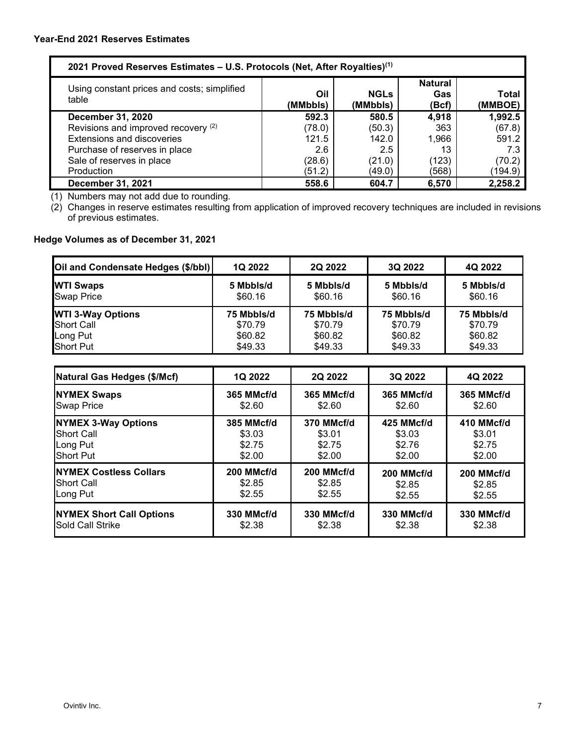| 2021 Proved Reserves Estimates – U.S. Protocols (Net, After Royalties) <sup>(1)</sup> |                                |                  |       |         |  |  |
|---------------------------------------------------------------------------------------|--------------------------------|------------------|-------|---------|--|--|
| Using constant prices and costs; simplified<br>table                                  | <b>Natural</b><br>Gas<br>(Bcf) | Total<br>(MMBOE) |       |         |  |  |
| December 31, 2020                                                                     | 592.3                          | 580.5            | 4,918 | 1,992.5 |  |  |
| Revisions and improved recovery (2)                                                   | (78.0)                         | (50.3)           | 363   | (67.8)  |  |  |
| <b>Extensions and discoveries</b>                                                     | 121.5                          | 142.0            | 1,966 | 591.2   |  |  |
| Purchase of reserves in place                                                         | 2.6                            | 2.5              | 13    | 7.3     |  |  |
| Sale of reserves in place                                                             | (28.6)                         | (21.0)           | (123) | (70.2)  |  |  |
| Production                                                                            | (51.2)                         | (49.0)           | (568) | (194.9) |  |  |
| <b>December 31, 2021</b>                                                              | 558.6                          | 604.7            | 6,570 | 2,258.2 |  |  |

(1) Numbers may not add due to rounding.

(2) Changes in reserve estimates resulting from application of improved recovery techniques are included in revisions of previous estimates.

# **Hedge Volumes as of December 31, 2021**

| Oil and Condensate Hedges (\$/bbl) | <b>1Q 2022</b> | 2Q 2022    | 3Q 2022    | 4Q 2022    |
|------------------------------------|----------------|------------|------------|------------|
| <b>WTI Swaps</b>                   | 5 Mbbls/d      | 5 Mbbls/d  | 5 Mbbls/d  | 5 Mbbls/d  |
| <b>Swap Price</b>                  | \$60.16        | \$60.16    | \$60.16    | \$60.16    |
| <b>WTI 3-Way Options</b>           | 75 Mbbls/d     | 75 Mbbls/d | 75 Mbbls/d | 75 Mbbls/d |
| <b>Short Call</b>                  | \$70.79        | \$70.79    | \$70.79    | \$70.79    |
| Long Put                           | \$60.82        | \$60.82    | \$60.82    | \$60.82    |
| <b>Short Put</b>                   | \$49.33        | \$49.33    | \$49.33    | \$49.33    |

| <b>Natural Gas Hedges (\$/Mcf)</b>      | 1Q 2022                                      | <b>2Q 2022</b> | 3Q 2022              | 4Q 2022              |
|-----------------------------------------|----------------------------------------------|----------------|----------------------|----------------------|
| <b>NYMEX Swaps</b><br><b>Swap Price</b> | 365 MMcf/d<br>365 MMcf/d<br>\$2.60<br>\$2.60 |                | 365 MMcf/d<br>\$2.60 | 365 MMcf/d<br>\$2.60 |
| <b>NYMEX 3-Way Options</b>              | 385 MMcf/d                                   | 370 MMcf/d     | 425 MMcf/d           | 410 MMcf/d           |
| <b>Short Call</b>                       | \$3.03                                       | \$3.01         | \$3.03               | \$3.01               |
| Long Put                                | \$2.75                                       | \$2.75         | \$2.76               | \$2.75               |
| Short Put                               | \$2.00                                       | \$2.00         | \$2.00               | \$2.00               |
| <b>INYMEX Costless Collars</b>          | 200 MMcf/d                                   | 200 MMcf/d     | 200 MMcf/d           | 200 MMcf/d           |
| <b>Short Call</b>                       | \$2.85                                       | \$2.85         | \$2.85               | \$2.85               |
| Long Put                                | \$2.55                                       | \$2.55         | \$2.55               | \$2.55               |
| <b>NYMEX Short Call Options</b>         | 330 MMcf/d                                   | 330 MMcf/d     | 330 MMcf/d           | 330 MMcf/d           |
| Sold Call Strike                        | \$2.38                                       | \$2.38         | \$2.38               | \$2.38               |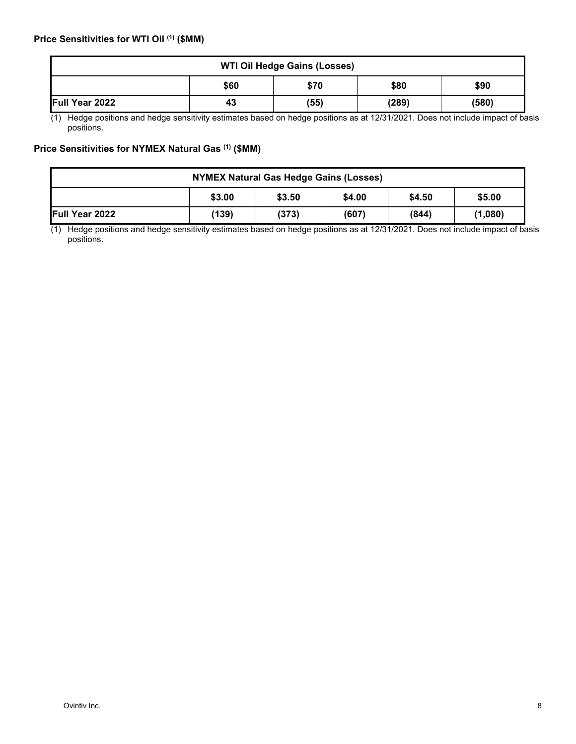| <b>WTI Oil Hedge Gains (Losses)</b> |    |      |       |       |  |  |
|-------------------------------------|----|------|-------|-------|--|--|
| \$90<br>\$80<br>\$60<br>\$70        |    |      |       |       |  |  |
| Full Year 2022                      | 43 | (55) | (289) | (580) |  |  |

(1) Hedge positions and hedge sensitivity estimates based on hedge positions as at 12/31/2021. Does not include impact of basis positions.

# **Price Sensitivities for NYMEX Natural Gas (1) (\$MM)**

| <b>NYMEX Natural Gas Hedge Gains (Losses)</b> |                                                |       |       |       |         |  |
|-----------------------------------------------|------------------------------------------------|-------|-------|-------|---------|--|
|                                               | \$3.00<br>\$3.50<br>\$5.00<br>\$4.50<br>\$4.00 |       |       |       |         |  |
| Full Year 2022                                | (139)                                          | (373) | (607) | (844) | (1,080) |  |

(1) Hedge positions and hedge sensitivity estimates based on hedge positions as at 12/31/2021. Does not include impact of basis positions.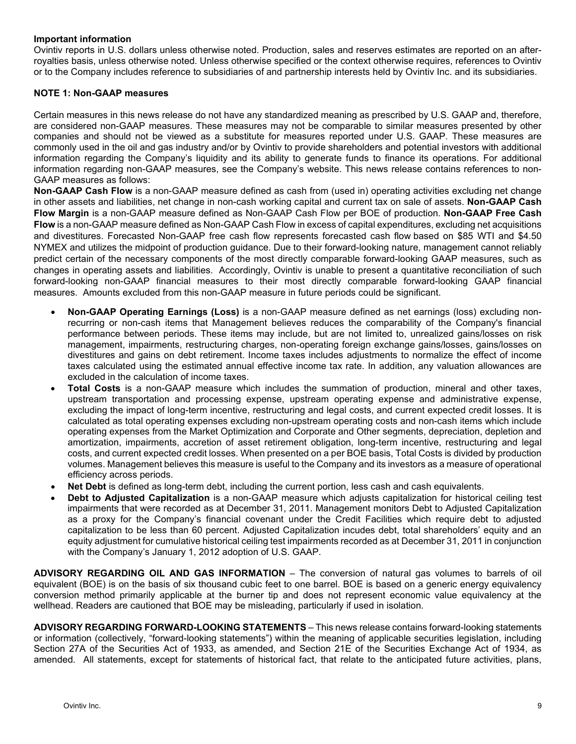## **Important information**

Ovintiv reports in U.S. dollars unless otherwise noted. Production, sales and reserves estimates are reported on an afterroyalties basis, unless otherwise noted. Unless otherwise specified or the context otherwise requires, references to Ovintiv or to the Company includes reference to subsidiaries of and partnership interests held by Ovintiv Inc. and its subsidiaries.

# **NOTE 1: Non-GAAP measures**

Certain measures in this news release do not have any standardized meaning as prescribed by U.S. GAAP and, therefore, are considered non-GAAP measures. These measures may not be comparable to similar measures presented by other companies and should not be viewed as a substitute for measures reported under U.S. GAAP. These measures are commonly used in the oil and gas industry and/or by Ovintiv to provide shareholders and potential investors with additional information regarding the Company's liquidity and its ability to generate funds to finance its operations. For additional information regarding non-GAAP measures, see the Company's website. This news release contains references to non-GAAP measures as follows:

**Non-GAAP Cash Flow** is a non-GAAP measure defined as cash from (used in) operating activities excluding net change in other assets and liabilities, net change in non-cash working capital and current tax on sale of assets. **Non-GAAP Cash Flow Margin** is a non-GAAP measure defined as Non-GAAP Cash Flow per BOE of production. **Non-GAAP Free Cash Flow** is a non-GAAP measure defined as Non-GAAP Cash Flow in excess of capital expenditures, excluding net acquisitions and divestitures. Forecasted Non-GAAP free cash flow represents forecasted cash flow based on \$85 WTI and \$4.50 NYMEX and utilizes the midpoint of production guidance. Due to their forward-looking nature, management cannot reliably predict certain of the necessary components of the most directly comparable forward-looking GAAP measures, such as changes in operating assets and liabilities. Accordingly, Ovintiv is unable to present a quantitative reconciliation of such forward-looking non-GAAP financial measures to their most directly comparable forward-looking GAAP financial measures. Amounts excluded from this non-GAAP measure in future periods could be significant.

- **Non-GAAP Operating Earnings (Loss)** is a non-GAAP measure defined as net earnings (loss) excluding nonrecurring or non-cash items that Management believes reduces the comparability of the Company's financial performance between periods. These items may include, but are not limited to, unrealized gains/losses on risk management, impairments, restructuring charges, non-operating foreign exchange gains/losses, gains/losses on divestitures and gains on debt retirement. Income taxes includes adjustments to normalize the effect of income taxes calculated using the estimated annual effective income tax rate. In addition, any valuation allowances are excluded in the calculation of income taxes.
- **Total Costs** is a non-GAAP measure which includes the summation of production, mineral and other taxes, upstream transportation and processing expense, upstream operating expense and administrative expense, excluding the impact of long-term incentive, restructuring and legal costs, and current expected credit losses. It is calculated as total operating expenses excluding non-upstream operating costs and non-cash items which include operating expenses from the Market Optimization and Corporate and Other segments, depreciation, depletion and amortization, impairments, accretion of asset retirement obligation, long-term incentive, restructuring and legal costs, and current expected credit losses. When presented on a per BOE basis, Total Costs is divided by production volumes. Management believes this measure is useful to the Company and its investors as a measure of operational efficiency across periods.
- **Net Debt** is defined as long-term debt, including the current portion, less cash and cash equivalents.
- **Debt to Adjusted Capitalization** is a non-GAAP measure which adjusts capitalization for historical ceiling test impairments that were recorded as at December 31, 2011. Management monitors Debt to Adjusted Capitalization as a proxy for the Company's financial covenant under the Credit Facilities which require debt to adjusted capitalization to be less than 60 percent. Adjusted Capitalization incudes debt, total shareholders' equity and an equity adjustment for cumulative historical ceiling test impairments recorded as at December 31, 2011 in conjunction with the Company's January 1, 2012 adoption of U.S. GAAP.

**ADVISORY REGARDING OIL AND GAS INFORMATION** – The conversion of natural gas volumes to barrels of oil equivalent (BOE) is on the basis of six thousand cubic feet to one barrel. BOE is based on a generic energy equivalency conversion method primarily applicable at the burner tip and does not represent economic value equivalency at the wellhead. Readers are cautioned that BOE may be misleading, particularly if used in isolation.

**ADVISORY REGARDING FORWARD-LOOKING STATEMENTS** – This news release contains forward-looking statements or information (collectively, "forward-looking statements") within the meaning of applicable securities legislation, including Section 27A of the Securities Act of 1933, as amended, and Section 21E of the Securities Exchange Act of 1934, as amended. All statements, except for statements of historical fact, that relate to the anticipated future activities, plans,